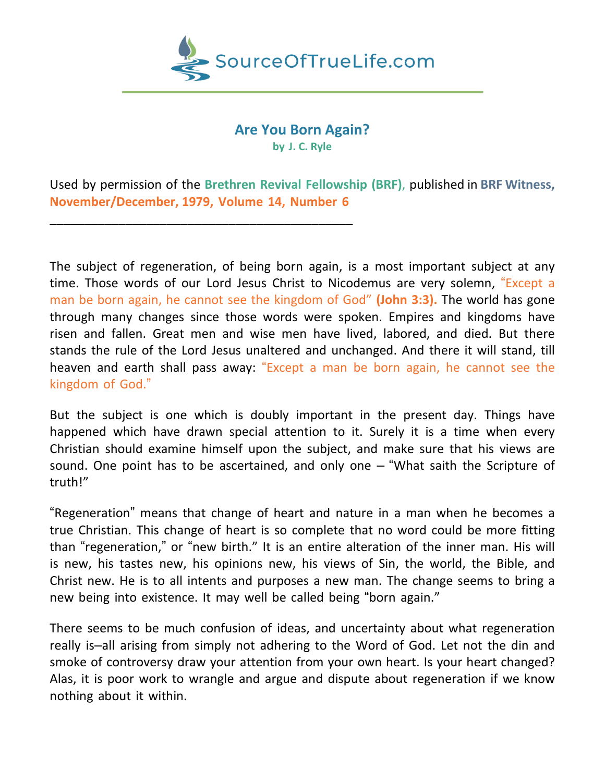

# **Are You Born Again? by J. C. Ryle**

Used by permission of the **Brethren Revival Fellowship (BRF)**, published in **BRF Witness, November/December, 1979, Volume 14, Number 6**

\_\_\_\_\_\_\_\_\_\_\_\_\_\_\_\_\_\_\_\_\_\_\_\_\_\_\_\_\_\_\_\_\_\_\_\_\_\_\_\_\_\_\_\_

The subject of regeneration, of being born again, is a most important subject at any time. Those words of our Lord Jesus Christ to Nicodemus are very solemn, "Except a man be born again, he cannot see the kingdom of God" **(John 3:3).** The world has gone through many changes since those words were spoken. Empires and kingdoms have risen and fallen. Great men and wise men have lived, labored, and died. But there stands the rule of the Lord Jesus unaltered and unchanged. And there it will stand, till heaven and earth shall pass away: "Except a man be born again, he cannot see the kingdom of God."

But the subject is one which is doubly important in the present day. Things have happened which have drawn special attention to it. Surely it is a time when every Christian should examine himself upon the subject, and make sure that his views are sound. One point has to be ascertained, and only one – "What saith the Scripture of truth!"

"Regeneration" means that change of heart and nature in a man when he becomes a true Christian. This change of heart is so complete that no word could be more fitting than "regeneration," or "new birth." It is an entire alteration of the inner man. His will is new, his tastes new, his opinions new, his views of Sin, the world, the Bible, and Christ new. He is to all intents and purposes a new man. The change seems to bring a new being into existence. It may well be called being "born again."

There seems to be much confusion of ideas, and uncertainty about what regeneration really is–all arising from simply not adhering to the Word of God. Let not the din and smoke of controversy draw your attention from your own heart. Is your heart changed? Alas, it is poor work to wrangle and argue and dispute about regeneration if we know nothing about it within.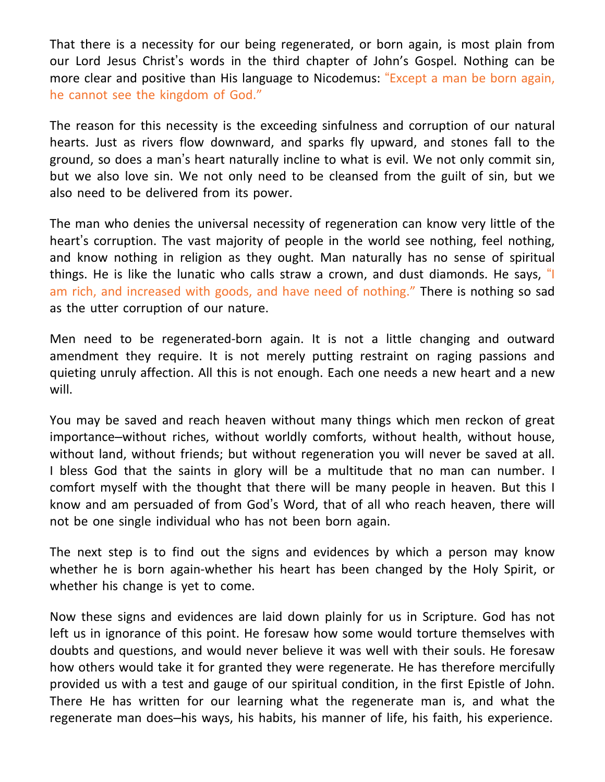That there is a necessity for our being regenerated, or born again, is most plain from our Lord Jesus Christ's words in the third chapter of John's Gospel. Nothing can be more clear and positive than His language to Nicodemus: "Except a man be born again, he cannot see the kingdom of God."

The reason for this necessity is the exceeding sinfulness and corruption of our natural hearts. Just as rivers flow downward, and sparks fly upward, and stones fall to the ground, so does a man's heart naturally incline to what is evil. We not only commit sin, but we also love sin. We not only need to be cleansed from the guilt of sin, but we also need to be delivered from its power.

The man who denies the universal necessity of regeneration can know very little of the heart's corruption. The vast majority of people in the world see nothing, feel nothing, and know nothing in religion as they ought. Man naturally has no sense of spiritual things. He is like the lunatic who calls straw a crown, and dust diamonds. He says, "I am rich, and increased with goods, and have need of nothing." There is nothing so sad as the utter corruption of our nature.

Men need to be regenerated-born again. It is not a little changing and outward amendment they require. It is not merely putting restraint on raging passions and quieting unruly affection. All this is not enough. Each one needs a new heart and a new will.

You may be saved and reach heaven without many things which men reckon of great importance–without riches, without worldly comforts, without health, without house, without land, without friends; but without regeneration you will never be saved at all. I bless God that the saints in glory will be a multitude that no man can number. I comfort myself with the thought that there will be many people in heaven. But this I know and am persuaded of from God's Word, that of all who reach heaven, there will not be one single individual who has not been born again.

The next step is to find out the signs and evidences by which a person may know whether he is born again-whether his heart has been changed by the Holy Spirit, or whether his change is yet to come.

Now these signs and evidences are laid down plainly for us in Scripture. God has not left us in ignorance of this point. He foresaw how some would torture themselves with doubts and questions, and would never believe it was well with their souls. He foresaw how others would take it for granted they were regenerate. He has therefore mercifully provided us with a test and gauge of our spiritual condition, in the first Epistle of John. There He has written for our learning what the regenerate man is, and what the regenerate man does–his ways, his habits, his manner of life, his faith, his experience.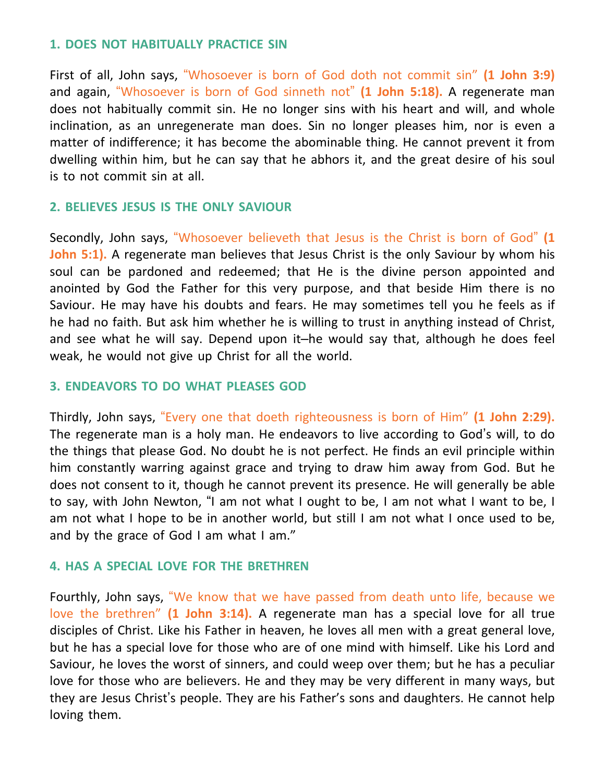#### **1. DOES NOT HABITUALLY PRACTICE SIN**

First of all, John says, "Whosoever is born of God doth not commit sin" **(1 John 3:9)** and again, "Whosoever is born of God sinneth not" **(1 John 5:18).** A regenerate man does not habitually commit sin. He no longer sins with his heart and will, and whole inclination, as an unregenerate man does. Sin no longer pleases him, nor is even a matter of indifference; it has become the abominable thing. He cannot prevent it from dwelling within him, but he can say that he abhors it, and the great desire of his soul is to not commit sin at all.

## **2. BELIEVES JESUS IS THE ONLY SAVIOUR**

Secondly, John says, "Whosoever believeth that Jesus is the Christ is born of God" **(1 John 5:1).** A regenerate man believes that Jesus Christ is the only Saviour by whom his soul can be pardoned and redeemed; that He is the divine person appointed and anointed by God the Father for this very purpose, and that beside Him there is no Saviour. He may have his doubts and fears. He may sometimes tell you he feels as if he had no faith. But ask him whether he is willing to trust in anything instead of Christ, and see what he will say. Depend upon it–he would say that, although he does feel weak, he would not give up Christ for all the world.

# **3. ENDEAVORS TO DO WHAT PLEASES GOD**

Thirdly, John says, "Every one that doeth righteousness is born of Him" **(1 John 2:29).** The regenerate man is a holy man. He endeavors to live according to God's will, to do the things that please God. No doubt he is not perfect. He finds an evil principle within him constantly warring against grace and trying to draw him away from God. But he does not consent to it, though he cannot prevent its presence. He will generally be able to say, with John Newton, "I am not what I ought to be, I am not what I want to be, I am not what I hope to be in another world, but still I am not what I once used to be, and by the grace of God I am what I am."

## **4. HAS A SPECIAL LOVE FOR THE BRETHREN**

Fourthly, John says, "We know that we have passed from death unto life, because we love the brethren" **(1 John 3:14).** A regenerate man has a special love for all true disciples of Christ. Like his Father in heaven, he loves all men with a great general love, but he has a special love for those who are of one mind with himself. Like his Lord and Saviour, he loves the worst of sinners, and could weep over them; but he has a peculiar love for those who are believers. He and they may be very different in many ways, but they are Jesus Christ's people. They are his Father's sons and daughters. He cannot help loving them.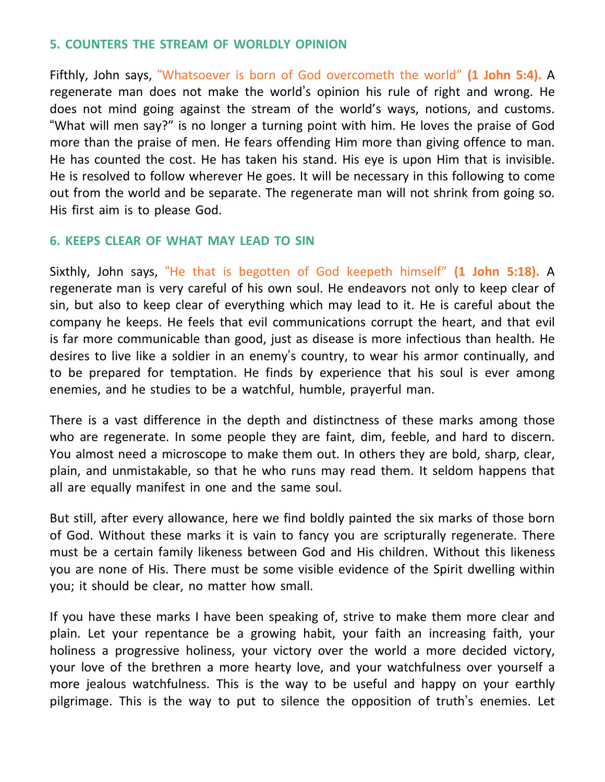## **5. COUNTERS THE STREAM OF WORLDLY OPINION**

Fifthly, John says, "Whatsoever is born of God overcometh the world" **(1 John 5:4).** A regenerate man does not make the world's opinion his rule of right and wrong. He does not mind going against the stream of the world's ways, notions, and customs. "What will men say?" is no longer a turning point with him. He loves the praise of God more than the praise of men. He fears offending Him more than giving offence to man. He has counted the cost. He has taken his stand. His eye is upon Him that is invisible. He is resolved to follow wherever He goes. It will be necessary in this following to come out from the world and be separate. The regenerate man will not shrink from going so. His first aim is to please God.

# **6. KEEPS CLEAR OF WHAT MAY LEAD TO SIN**

Sixthly, John says, "He that is begotten of God keepeth himself" **(1 John 5:18).** A regenerate man is very careful of his own soul. He endeavors not only to keep clear of sin, but also to keep clear of everything which may lead to it. He is careful about the company he keeps. He feels that evil communications corrupt the heart, and that evil is far more communicable than good, just as disease is more infectious than health. He desires to live like a soldier in an enemy's country, to wear his armor continually, and to be prepared for temptation. He finds by experience that his soul is ever among enemies, and he studies to be a watchful, humble, prayerful man.

There is a vast difference in the depth and distinctness of these marks among those who are regenerate. In some people they are faint, dim, feeble, and hard to discern. You almost need a microscope to make them out. In others they are bold, sharp, clear, plain, and unmistakable, so that he who runs may read them. It seldom happens that all are equally manifest in one and the same soul.

But still, after every allowance, here we find boldly painted the six marks of those born of God. Without these marks it is vain to fancy you are scripturally regenerate. There must be a certain family likeness between God and His children. Without this likeness you are none of His. There must be some visible evidence of the Spirit dwelling within you; it should be clear, no matter how small.

If you have these marks I have been speaking of, strive to make them more clear and plain. Let your repentance be a growing habit, your faith an increasing faith, your holiness a progressive holiness, your victory over the world a more decided victory, your love of the brethren a more hearty love, and your watchfulness over yourself a more jealous watchfulness. This is the way to be useful and happy on your earthly pilgrimage. This is the way to put to silence the opposition of truth's enemies. Let